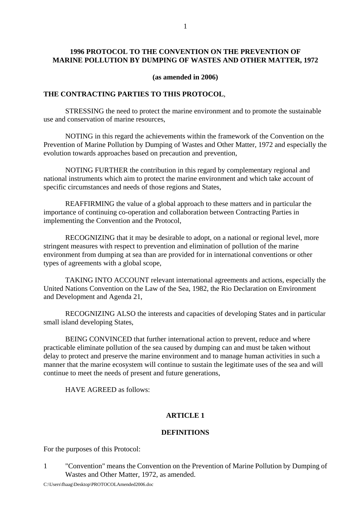# **1996 PROTOCOL TO THE CONVENTION ON THE PREVENTION OF MARINE POLLUTION BY DUMPING OF WASTES AND OTHER MATTER, 1972**

#### **(as amended in 2006)**

#### **THE CONTRACTING PARTIES TO THIS PROTOCOL**,

STRESSING the need to protect the marine environment and to promote the sustainable use and conservation of marine resources,

NOTING in this regard the achievements within the framework of the Convention on the Prevention of Marine Pollution by Dumping of Wastes and Other Matter, 1972 and especially the evolution towards approaches based on precaution and prevention,

NOTING FURTHER the contribution in this regard by complementary regional and national instruments which aim to protect the marine environment and which take account of specific circumstances and needs of those regions and States,

REAFFIRMING the value of a global approach to these matters and in particular the importance of continuing co-operation and collaboration between Contracting Parties in implementing the Convention and the Protocol,

RECOGNIZING that it may be desirable to adopt, on a national or regional level, more stringent measures with respect to prevention and elimination of pollution of the marine environment from dumping at sea than are provided for in international conventions or other types of agreements with a global scope,

TAKING INTO ACCOUNT relevant international agreements and actions, especially the United Nations Convention on the Law of the Sea, 1982, the Rio Declaration on Environment and Development and Agenda 21,

RECOGNIZING ALSO the interests and capacities of developing States and in particular small island developing States,

BEING CONVINCED that further international action to prevent, reduce and where practicable eliminate pollution of the sea caused by dumping can and must be taken without delay to protect and preserve the marine environment and to manage human activities in such a manner that the marine ecosystem will continue to sustain the legitimate uses of the sea and will continue to meet the needs of present and future generations,

HAVE AGREED as follows:

### **ARTICLE 1**

#### **DEFINITIONS**

For the purposes of this Protocol:

1 "Convention" means the Convention on the Prevention of Marine Pollution by Dumping of Wastes and Other Matter, 1972, as amended.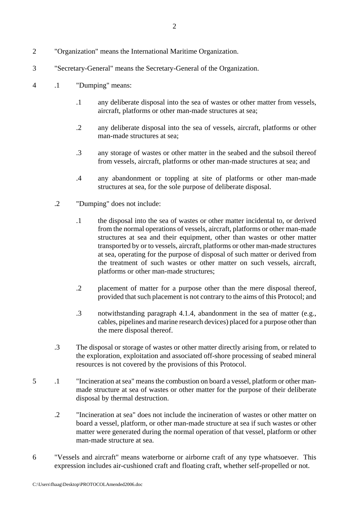- 2 "Organization" means the International Maritime Organization.
- 3 "Secretary-General" means the Secretary-General of the Organization.
- 4 .1 "Dumping" means:
	- .1 any deliberate disposal into the sea of wastes or other matter from vessels, aircraft, platforms or other man-made structures at sea;
	- .2 any deliberate disposal into the sea of vessels, aircraft, platforms or other man-made structures at sea;
	- .3 any storage of wastes or other matter in the seabed and the subsoil thereof from vessels, aircraft, platforms or other man-made structures at sea; and
	- .4 any abandonment or toppling at site of platforms or other man-made structures at sea, for the sole purpose of deliberate disposal.
	- .2 "Dumping" does not include:
		- .1 the disposal into the sea of wastes or other matter incidental to, or derived from the normal operations of vessels, aircraft, platforms or other man-made structures at sea and their equipment, other than wastes or other matter transported by or to vessels, aircraft, platforms or other man-made structures at sea, operating for the purpose of disposal of such matter or derived from the treatment of such wastes or other matter on such vessels, aircraft, platforms or other man-made structures;
		- .2 placement of matter for a purpose other than the mere disposal thereof, provided that such placement is not contrary to the aims of this Protocol; and
		- .3 notwithstanding paragraph 4.1.4, abandonment in the sea of matter (e.g., cables, pipelines and marine research devices) placed for a purpose other than the mere disposal thereof.
	- .3 The disposal or storage of wastes or other matter directly arising from, or related to the exploration, exploitation and associated off-shore processing of seabed mineral resources is not covered by the provisions of this Protocol.
- 5 .1 "Incineration at sea" means the combustion on board a vessel, platform or other manmade structure at sea of wastes or other matter for the purpose of their deliberate disposal by thermal destruction.
	- .2 "Incineration at sea" does not include the incineration of wastes or other matter on board a vessel, platform, or other man-made structure at sea if such wastes or other matter were generated during the normal operation of that vessel, platform or other man-made structure at sea.
- 6 "Vessels and aircraft" means waterborne or airborne craft of any type whatsoever. This expression includes air-cushioned craft and floating craft, whether self-propelled or not.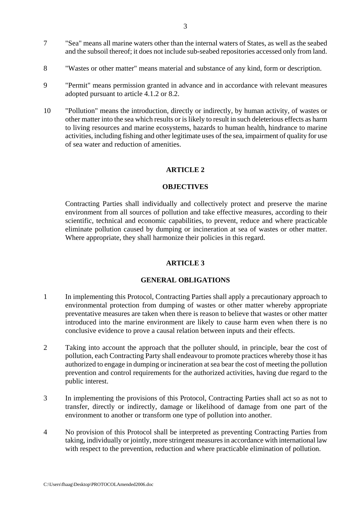- 7 "Sea" means all marine waters other than the internal waters of States, as well as the seabed and the subsoil thereof; it does not include sub-seabed repositories accessed only from land.
- 8 "Wastes or other matter" means material and substance of any kind, form or description.
- 9 "Permit" means permission granted in advance and in accordance with relevant measures adopted pursuant to article 4.1.2 or 8.2.
- 10 "Pollution" means the introduction, directly or indirectly, by human activity, of wastes or other matter into the sea which results or is likely to result in such deleterious effects as harm to living resources and marine ecosystems, hazards to human health, hindrance to marine activities, including fishing and other legitimate uses of the sea, impairment of quality for use of sea water and reduction of amenities.

#### **OBJECTIVES**

Contracting Parties shall individually and collectively protect and preserve the marine environment from all sources of pollution and take effective measures, according to their scientific, technical and economic capabilities, to prevent, reduce and where practicable eliminate pollution caused by dumping or incineration at sea of wastes or other matter. Where appropriate, they shall harmonize their policies in this regard.

#### **ARTICLE 3**

#### **GENERAL OBLIGATIONS**

- 1 In implementing this Protocol, Contracting Parties shall apply a precautionary approach to environmental protection from dumping of wastes or other matter whereby appropriate preventative measures are taken when there is reason to believe that wastes or other matter introduced into the marine environment are likely to cause harm even when there is no conclusive evidence to prove a causal relation between inputs and their effects.
- 2 Taking into account the approach that the polluter should, in principle, bear the cost of pollution, each Contracting Party shall endeavour to promote practices whereby those it has authorized to engage in dumping or incineration at sea bear the cost of meeting the pollution prevention and control requirements for the authorized activities, having due regard to the public interest.
- 3 In implementing the provisions of this Protocol, Contracting Parties shall act so as not to transfer, directly or indirectly, damage or likelihood of damage from one part of the environment to another or transform one type of pollution into another.
- 4 No provision of this Protocol shall be interpreted as preventing Contracting Parties from taking, individually or jointly, more stringent measures in accordance with international law with respect to the prevention, reduction and where practicable elimination of pollution.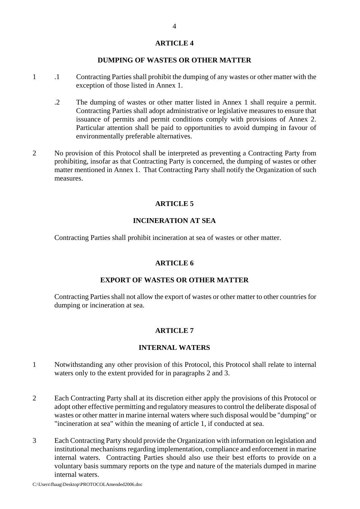### **DUMPING OF WASTES OR OTHER MATTER**

- 1 .1 Contracting Parties shall prohibit the dumping of any wastes or other matter with the exception of those listed in Annex 1.
	- .2 The dumping of wastes or other matter listed in Annex 1 shall require a permit. Contracting Parties shall adopt administrative or legislative measures to ensure that issuance of permits and permit conditions comply with provisions of Annex 2. Particular attention shall be paid to opportunities to avoid dumping in favour of environmentally preferable alternatives.
- 2 No provision of this Protocol shall be interpreted as preventing a Contracting Party from prohibiting, insofar as that Contracting Party is concerned, the dumping of wastes or other matter mentioned in Annex 1. That Contracting Party shall notify the Organization of such measures.

# **ARTICLE 5**

## **INCINERATION AT SEA**

Contracting Parties shall prohibit incineration at sea of wastes or other matter.

# **ARTICLE 6**

### **EXPORT OF WASTES OR OTHER MATTER**

Contracting Parties shall not allow the export of wastes or other matter to other countries for dumping or incineration at sea.

# **ARTICLE 7**

# **INTERNAL WATERS**

- 1 Notwithstanding any other provision of this Protocol, this Protocol shall relate to internal waters only to the extent provided for in paragraphs 2 and 3.
- 2 Each Contracting Party shall at its discretion either apply the provisions of this Protocol or adopt other effective permitting and regulatory measures to control the deliberate disposal of wastes or other matter in marine internal waters where such disposal would be "dumping" or "incineration at sea" within the meaning of article 1, if conducted at sea.
- 3 Each Contracting Party should provide the Organization with information on legislation and institutional mechanisms regarding implementation, compliance and enforcement in marine internal waters. Contracting Parties should also use their best efforts to provide on a voluntary basis summary reports on the type and nature of the materials dumped in marine internal waters.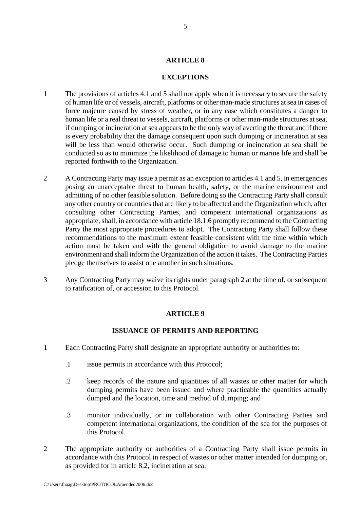## **EXCEPTIONS**

- 1 The provisions of articles 4.1 and 5 shall not apply when it is necessary to secure the safety of human life or of vessels, aircraft, platforms or other man-made structures at sea in cases of force majeure caused by stress of weather, or in any case which constitutes a danger to human life or a real threat to vessels, aircraft, platforms or other man-made structures at sea, if dumping or incineration at sea appears to be the only way of averting the threat and if there is every probability that the damage consequent upon such dumping or incineration at sea will be less than would otherwise occur. Such dumping or incineration at sea shall be conducted so as to minimize the likelihood of damage to human or marine life and shall be reported forthwith to the Organization.
- 2 A Contracting Party may issue a permit as an exception to articles 4.1 and 5, in emergencies posing an unacceptable threat to human health, safety, or the marine environment and admitting of no other feasible solution. Before doing so the Contracting Party shall consult any other country or countries that are likely to be affected and the Organization which, after consulting other Contracting Parties, and competent international organizations as appropriate, shall, in accordance with article 18.1.6 promptly recommend to the Contracting Party the most appropriate procedures to adopt. The Contracting Party shall follow these recommendations to the maximum extent feasible consistent with the time within which action must be taken and with the general obligation to avoid damage to the marine environment and shall inform the Organization of the action it takes. The Contracting Parties pledge themselves to assist one another in such situations.
- 3 Any Contracting Party may waive its rights under paragraph 2 at the time of, or subsequent to ratification of, or accession to this Protocol.

# **ARTICLE 9**

# **ISSUANCE OF PERMITS AND REPORTING**

- 1 Each Contracting Party shall designate an appropriate authority or authorities to:
	- .1 issue permits in accordance with this Protocol;
	- .2 keep records of the nature and quantities of all wastes or other matter for which dumping permits have been issued and where practicable the quantities actually dumped and the location, time and method of dumping; and
	- .3 monitor individually, or in collaboration with other Contracting Parties and competent international organizations, the condition of the sea for the purposes of this Protocol.
- 2 The appropriate authority or authorities of a Contracting Party shall issue permits in accordance with this Protocol in respect of wastes or other matter intended for dumping or, as provided for in article 8.2, incineration at sea: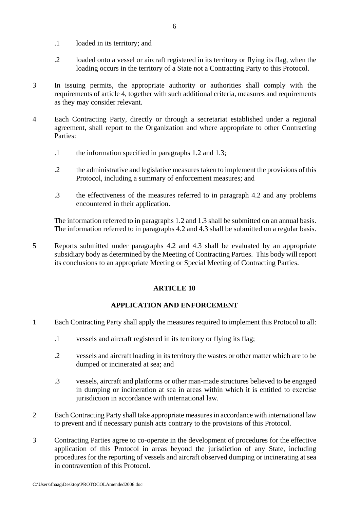- .1 loaded in its territory; and
- .2 loaded onto a vessel or aircraft registered in its territory or flying its flag, when the loading occurs in the territory of a State not a Contracting Party to this Protocol.
- 3 In issuing permits, the appropriate authority or authorities shall comply with the requirements of article 4, together with such additional criteria, measures and requirements as they may consider relevant.
- 4 Each Contracting Party, directly or through a secretariat established under a regional agreement, shall report to the Organization and where appropriate to other Contracting Parties:
	- .1 the information specified in paragraphs 1.2 and 1.3;
	- .2 the administrative and legislative measures taken to implement the provisions of this Protocol, including a summary of enforcement measures; and
	- .3 the effectiveness of the measures referred to in paragraph 4.2 and any problems encountered in their application.

The information referred to in paragraphs 1.2 and 1.3 shall be submitted on an annual basis. The information referred to in paragraphs 4.2 and 4.3 shall be submitted on a regular basis.

5 Reports submitted under paragraphs 4.2 and 4.3 shall be evaluated by an appropriate subsidiary body as determined by the Meeting of Contracting Parties. This body will report its conclusions to an appropriate Meeting or Special Meeting of Contracting Parties.

### **ARTICLE 10**

# **APPLICATION AND ENFORCEMENT**

- 1 Each Contracting Party shall apply the measures required to implement this Protocol to all:
	- .1 vessels and aircraft registered in its territory or flying its flag;
	- .2 vessels and aircraft loading in its territory the wastes or other matter which are to be dumped or incinerated at sea; and
	- .3 vessels, aircraft and platforms or other man-made structures believed to be engaged in dumping or incineration at sea in areas within which it is entitled to exercise jurisdiction in accordance with international law.
- 2 Each Contracting Party shall take appropriate measures in accordance with international law to prevent and if necessary punish acts contrary to the provisions of this Protocol.
- 3 Contracting Parties agree to co-operate in the development of procedures for the effective application of this Protocol in areas beyond the jurisdiction of any State, including procedures for the reporting of vessels and aircraft observed dumping or incinerating at sea in contravention of this Protocol.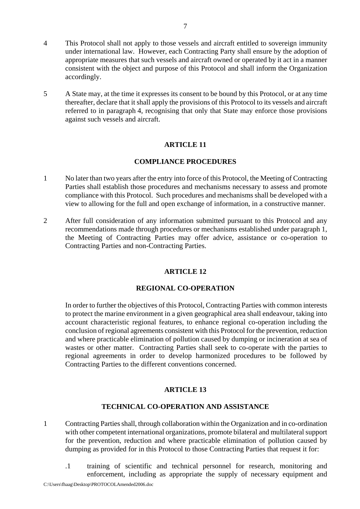- 4 This Protocol shall not apply to those vessels and aircraft entitled to sovereign immunity under international law. However, each Contracting Party shall ensure by the adoption of appropriate measures that such vessels and aircraft owned or operated by it act in a manner consistent with the object and purpose of this Protocol and shall inform the Organization accordingly.
- 5 A State may, at the time it expresses its consent to be bound by this Protocol, or at any time thereafter, declare that it shall apply the provisions of this Protocol to its vessels and aircraft referred to in paragraph 4, recognising that only that State may enforce those provisions against such vessels and aircraft.

## **COMPLIANCE PROCEDURES**

- 1 No later than two years after the entry into force of this Protocol, the Meeting of Contracting Parties shall establish those procedures and mechanisms necessary to assess and promote compliance with this Protocol. Such procedures and mechanisms shall be developed with a view to allowing for the full and open exchange of information, in a constructive manner.
- 2 After full consideration of any information submitted pursuant to this Protocol and any recommendations made through procedures or mechanisms established under paragraph 1, the Meeting of Contracting Parties may offer advice, assistance or co-operation to Contracting Parties and non-Contracting Parties.

### **ARTICLE 12**

### **REGIONAL CO-OPERATION**

In order to further the objectives of this Protocol, Contracting Parties with common interests to protect the marine environment in a given geographical area shall endeavour, taking into account characteristic regional features, to enhance regional co-operation including the conclusion of regional agreements consistent with this Protocol for the prevention, reduction and where practicable elimination of pollution caused by dumping or incineration at sea of wastes or other matter. Contracting Parties shall seek to co-operate with the parties to regional agreements in order to develop harmonized procedures to be followed by Contracting Parties to the different conventions concerned.

# **ARTICLE 13**

# **TECHNICAL CO-OPERATION AND ASSISTANCE**

- 1 Contracting Parties shall, through collaboration within the Organization and in co-ordination with other competent international organizations, promote bilateral and multilateral support for the prevention, reduction and where practicable elimination of pollution caused by dumping as provided for in this Protocol to those Contracting Parties that request it for:
	- .1 training of scientific and technical personnel for research, monitoring and enforcement, including as appropriate the supply of necessary equipment and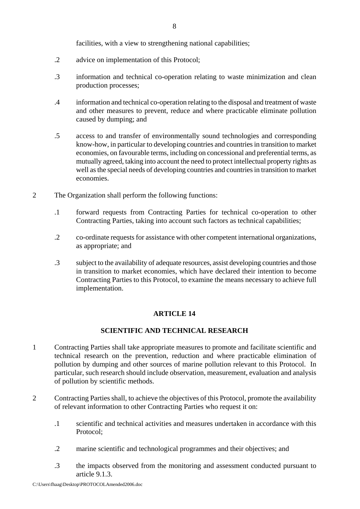- .2 advice on implementation of this Protocol;
- .3 information and technical co-operation relating to waste minimization and clean production processes;
- .4 information and technical co-operation relating to the disposal and treatment of waste and other measures to prevent, reduce and where practicable eliminate pollution caused by dumping; and
- .5 access to and transfer of environmentally sound technologies and corresponding know-how, in particular to developing countries and countries in transition to market economies, on favourable terms, including on concessional and preferential terms, as mutually agreed, taking into account the need to protect intellectual property rights as well as the special needs of developing countries and countries in transition to market economies.
- 2 The Organization shall perform the following functions:
	- .1 forward requests from Contracting Parties for technical co-operation to other Contracting Parties, taking into account such factors as technical capabilities;
	- .2 co-ordinate requests for assistance with other competent international organizations, as appropriate; and
	- .3 subject to the availability of adequate resources, assist developing countries and those in transition to market economies, which have declared their intention to become Contracting Parties to this Protocol, to examine the means necessary to achieve full implementation.

# **SCIENTIFIC AND TECHNICAL RESEARCH**

- 1 Contracting Parties shall take appropriate measures to promote and facilitate scientific and technical research on the prevention, reduction and where practicable elimination of pollution by dumping and other sources of marine pollution relevant to this Protocol. In particular, such research should include observation, measurement, evaluation and analysis of pollution by scientific methods.
- 2 Contracting Parties shall, to achieve the objectives of this Protocol, promote the availability of relevant information to other Contracting Parties who request it on:
	- .1 scientific and technical activities and measures undertaken in accordance with this Protocol;
	- .2 marine scientific and technological programmes and their objectives; and
	- .3 the impacts observed from the monitoring and assessment conducted pursuant to article 9.1.3.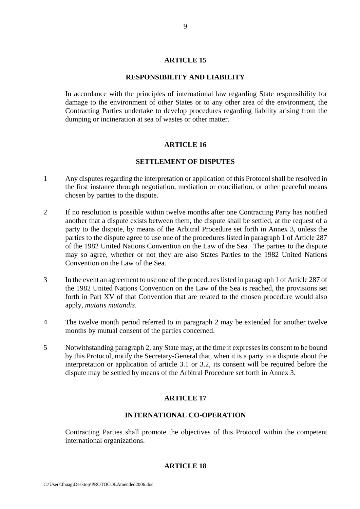#### **RESPONSIBILITY AND LIABILITY**

In accordance with the principles of international law regarding State responsibility for damage to the environment of other States or to any other area of the environment, the Contracting Parties undertake to develop procedures regarding liability arising from the dumping or incineration at sea of wastes or other matter.

### **ARTICLE 16**

#### **SETTLEMENT OF DISPUTES**

- 1 Any disputes regarding the interpretation or application of this Protocol shall be resolved in the first instance through negotiation, mediation or conciliation, or other peaceful means chosen by parties to the dispute.
- 2 If no resolution is possible within twelve months after one Contracting Party has notified another that a dispute exists between them, the dispute shall be settled, at the request of a party to the dispute, by means of the Arbitral Procedure set forth in Annex 3, unless the parties to the dispute agree to use one of the procedures listed in paragraph 1 of Article 287 of the 1982 United Nations Convention on the Law of the Sea. The parties to the dispute may so agree, whether or not they are also States Parties to the 1982 United Nations Convention on the Law of the Sea.
- 3 In the event an agreement to use one of the procedures listed in paragraph 1 of Article 287 of the 1982 United Nations Convention on the Law of the Sea is reached, the provisions set forth in Part XV of that Convention that are related to the chosen procedure would also apply, *mutatis mutandis*.
- 4 The twelve month period referred to in paragraph 2 may be extended for another twelve months by mutual consent of the parties concerned.
- 5 Notwithstanding paragraph 2, any State may, at the time it expresses its consent to be bound by this Protocol, notify the Secretary-General that, when it is a party to a dispute about the interpretation or application of article 3.1 or 3.2, its consent will be required before the dispute may be settled by means of the Arbitral Procedure set forth in Annex 3.

### **ARTICLE 17**

## **INTERNATIONAL CO-OPERATION**

Contracting Parties shall promote the objectives of this Protocol within the competent international organizations.

### **ARTICLE 18**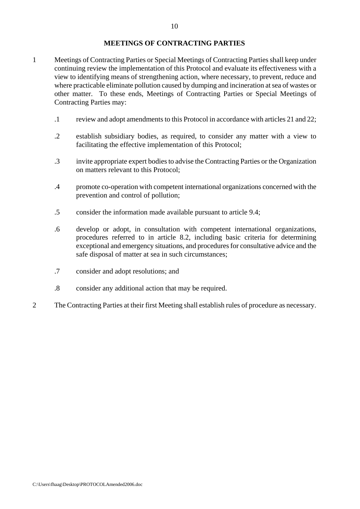### **MEETINGS OF CONTRACTING PARTIES**

- 1 Meetings of Contracting Parties or Special Meetings of Contracting Parties shall keep under continuing review the implementation of this Protocol and evaluate its effectiveness with a view to identifying means of strengthening action, where necessary, to prevent, reduce and where practicable eliminate pollution caused by dumping and incineration at sea of wastes or other matter. To these ends, Meetings of Contracting Parties or Special Meetings of Contracting Parties may:
	- .1 review and adopt amendments to this Protocol in accordance with articles 21 and 22;
	- .2 establish subsidiary bodies, as required, to consider any matter with a view to facilitating the effective implementation of this Protocol;
	- .3 invite appropriate expert bodies to advise the Contracting Parties or the Organization on matters relevant to this Protocol;
	- .4 promote co-operation with competent international organizations concerned with the prevention and control of pollution;
	- .5 consider the information made available pursuant to article 9.4;
	- .6 develop or adopt, in consultation with competent international organizations, procedures referred to in article 8.2, including basic criteria for determining exceptional and emergency situations, and procedures for consultative advice and the safe disposal of matter at sea in such circumstances;
	- .7 consider and adopt resolutions; and
	- .8 consider any additional action that may be required.
- 2 The Contracting Parties at their first Meeting shall establish rules of procedure as necessary.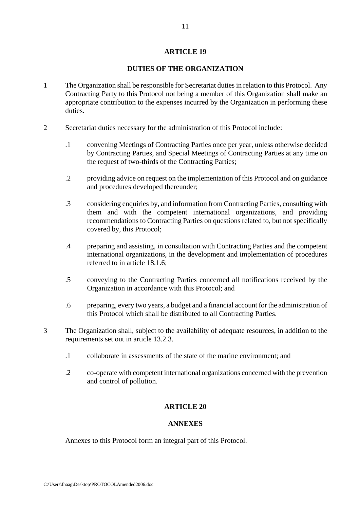## **DUTIES OF THE ORGANIZATION**

- 1 The Organization shall be responsible for Secretariat duties in relation to this Protocol. Any Contracting Party to this Protocol not being a member of this Organization shall make an appropriate contribution to the expenses incurred by the Organization in performing these duties.
- 2 Secretariat duties necessary for the administration of this Protocol include:
	- .1 convening Meetings of Contracting Parties once per year, unless otherwise decided by Contracting Parties, and Special Meetings of Contracting Parties at any time on the request of two-thirds of the Contracting Parties;
	- .2 providing advice on request on the implementation of this Protocol and on guidance and procedures developed thereunder;
	- .3 considering enquiries by, and information from Contracting Parties, consulting with them and with the competent international organizations, and providing recommendations to Contracting Parties on questions related to, but not specifically covered by, this Protocol;
	- .4 preparing and assisting, in consultation with Contracting Parties and the competent international organizations, in the development and implementation of procedures referred to in article 18.1.6;
	- .5 conveying to the Contracting Parties concerned all notifications received by the Organization in accordance with this Protocol; and
	- .6 preparing, every two years, a budget and a financial account for the administration of this Protocol which shall be distributed to all Contracting Parties.
- 3 The Organization shall, subject to the availability of adequate resources, in addition to the requirements set out in article 13.2.3.
	- .1 collaborate in assessments of the state of the marine environment; and
	- .2 co-operate with competent international organizations concerned with the prevention and control of pollution.

# **ARTICLE 20**

### **ANNEXES**

Annexes to this Protocol form an integral part of this Protocol.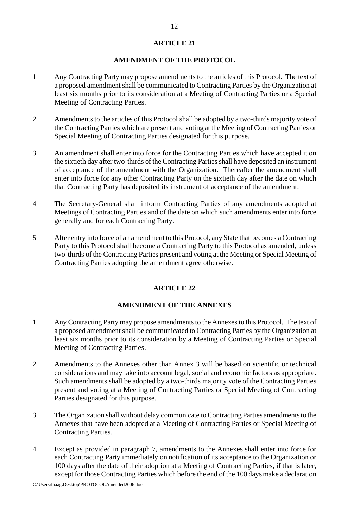## **AMENDMENT OF THE PROTOCOL**

- 1 Any Contracting Party may propose amendments to the articles of this Protocol. The text of a proposed amendment shall be communicated to Contracting Parties by the Organization at least six months prior to its consideration at a Meeting of Contracting Parties or a Special Meeting of Contracting Parties.
- 2 Amendments to the articles of this Protocol shall be adopted by a two-thirds majority vote of the Contracting Parties which are present and voting at the Meeting of Contracting Parties or Special Meeting of Contracting Parties designated for this purpose.
- 3 An amendment shall enter into force for the Contracting Parties which have accepted it on the sixtieth day after two-thirds of the Contracting Parties shall have deposited an instrument of acceptance of the amendment with the Organization. Thereafter the amendment shall enter into force for any other Contracting Party on the sixtieth day after the date on which that Contracting Party has deposited its instrument of acceptance of the amendment.
- 4 The Secretary-General shall inform Contracting Parties of any amendments adopted at Meetings of Contracting Parties and of the date on which such amendments enter into force generally and for each Contracting Party.
- 5 After entry into force of an amendment to this Protocol, any State that becomes a Contracting Party to this Protocol shall become a Contracting Party to this Protocol as amended, unless two-thirds of the Contracting Parties present and voting at the Meeting or Special Meeting of Contracting Parties adopting the amendment agree otherwise.

# **ARTICLE 22**

# **AMENDMENT OF THE ANNEXES**

- 1 Any Contracting Party may propose amendments to the Annexes to this Protocol. The text of a proposed amendment shall be communicated to Contracting Parties by the Organization at least six months prior to its consideration by a Meeting of Contracting Parties or Special Meeting of Contracting Parties.
- 2 Amendments to the Annexes other than Annex 3 will be based on scientific or technical considerations and may take into account legal, social and economic factors as appropriate. Such amendments shall be adopted by a two-thirds majority vote of the Contracting Parties present and voting at a Meeting of Contracting Parties or Special Meeting of Contracting Parties designated for this purpose.
- 3 The Organization shall without delay communicate to Contracting Parties amendments to the Annexes that have been adopted at a Meeting of Contracting Parties or Special Meeting of Contracting Parties.
- 4 Except as provided in paragraph 7, amendments to the Annexes shall enter into force for each Contracting Party immediately on notification of its acceptance to the Organization or 100 days after the date of their adoption at a Meeting of Contracting Parties, if that is later, except for those Contracting Parties which before the end of the 100 days make a declaration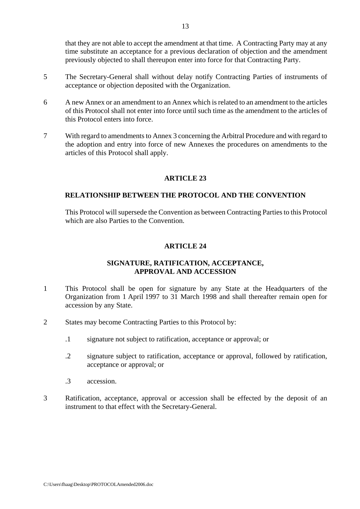that they are not able to accept the amendment at that time. A Contracting Party may at any time substitute an acceptance for a previous declaration of objection and the amendment previously objected to shall thereupon enter into force for that Contracting Party.

- 5 The Secretary-General shall without delay notify Contracting Parties of instruments of acceptance or objection deposited with the Organization.
- 6 A new Annex or an amendment to an Annex which is related to an amendment to the articles of this Protocol shall not enter into force until such time as the amendment to the articles of this Protocol enters into force.
- 7 With regard to amendments to Annex 3 concerning the Arbitral Procedure and with regard to the adoption and entry into force of new Annexes the procedures on amendments to the articles of this Protocol shall apply.

## **ARTICLE 23**

### **RELATIONSHIP BETWEEN THE PROTOCOL AND THE CONVENTION**

This Protocol will supersede the Convention as between Contracting Parties to this Protocol which are also Parties to the Convention.

### **ARTICLE 24**

### **SIGNATURE, RATIFICATION, ACCEPTANCE, APPROVAL AND ACCESSION**

- 1 This Protocol shall be open for signature by any State at the Headquarters of the Organization from 1 April 1997 to 31 March 1998 and shall thereafter remain open for accession by any State.
- 2 States may become Contracting Parties to this Protocol by:
	- .1 signature not subject to ratification, acceptance or approval; or
	- .2 signature subject to ratification, acceptance or approval, followed by ratification, acceptance or approval; or
	- .3 accession.
- 3 Ratification, acceptance, approval or accession shall be effected by the deposit of an instrument to that effect with the Secretary-General.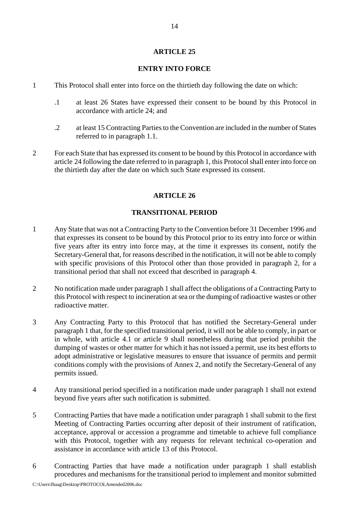#### **ENTRY INTO FORCE**

- 1 This Protocol shall enter into force on the thirtieth day following the date on which:
	- .1 at least 26 States have expressed their consent to be bound by this Protocol in accordance with article 24; and
	- .2 at least 15 Contracting Parties to the Convention are included in the number of States referred to in paragraph 1.1.
- 2 For each State that has expressed its consent to be bound by this Protocol in accordance with article 24 following the date referred to in paragraph 1, this Protocol shall enter into force on the thirtieth day after the date on which such State expressed its consent.

# **ARTICLE 26**

### **TRANSITIONAL PERIOD**

- 1 Any State that was not a Contracting Party to the Convention before 31 December 1996 and that expresses its consent to be bound by this Protocol prior to its entry into force or within five years after its entry into force may, at the time it expresses its consent, notify the Secretary-General that, for reasons described in the notification, it will not be able to comply with specific provisions of this Protocol other than those provided in paragraph 2, for a transitional period that shall not exceed that described in paragraph 4.
- 2 No notification made under paragraph 1 shall affect the obligations of a Contracting Party to this Protocol with respect to incineration at sea or the dumping of radioactive wastes or other radioactive matter.
- 3 Any Contracting Party to this Protocol that has notified the Secretary-General under paragraph 1 that, for the specified transitional period, it will not be able to comply, in part or in whole, with article 4.1 or article 9 shall nonetheless during that period prohibit the dumping of wastes or other matter for which it has not issued a permit, use its best efforts to adopt administrative or legislative measures to ensure that issuance of permits and permit conditions comply with the provisions of Annex 2, and notify the Secretary-General of any permits issued.
- 4 Any transitional period specified in a notification made under paragraph 1 shall not extend beyond five years after such notification is submitted.
- 5 Contracting Parties that have made a notification under paragraph 1 shall submit to the first Meeting of Contracting Parties occurring after deposit of their instrument of ratification, acceptance, approval or accession a programme and timetable to achieve full compliance with this Protocol, together with any requests for relevant technical co-operation and assistance in accordance with article 13 of this Protocol.
- 6 Contracting Parties that have made a notification under paragraph 1 shall establish procedures and mechanisms for the transitional period to implement and monitor submitted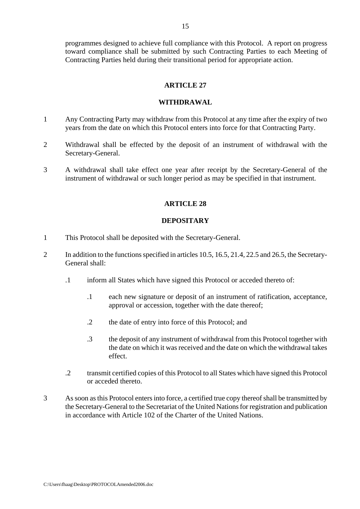programmes designed to achieve full compliance with this Protocol. A report on progress toward compliance shall be submitted by such Contracting Parties to each Meeting of Contracting Parties held during their transitional period for appropriate action.

## **ARTICLE 27**

#### **WITHDRAWAL**

- 1 Any Contracting Party may withdraw from this Protocol at any time after the expiry of two years from the date on which this Protocol enters into force for that Contracting Party.
- 2 Withdrawal shall be effected by the deposit of an instrument of withdrawal with the Secretary-General.
- 3 A withdrawal shall take effect one year after receipt by the Secretary-General of the instrument of withdrawal or such longer period as may be specified in that instrument.

### **ARTICLE 28**

#### **DEPOSITARY**

- 1 This Protocol shall be deposited with the Secretary-General.
- 2 In addition to the functions specified in articles 10.5, 16.5, 21.4, 22.5 and 26.5, the Secretary-General shall:
	- .1 inform all States which have signed this Protocol or acceded thereto of:
		- .1 each new signature or deposit of an instrument of ratification, acceptance, approval or accession, together with the date thereof;
		- .2 the date of entry into force of this Protocol; and
		- .3 the deposit of any instrument of withdrawal from this Protocol together with the date on which it was received and the date on which the withdrawal takes effect.
	- .2 transmit certified copies of this Protocol to all States which have signed this Protocol or acceded thereto.
- 3 As soon as this Protocol enters into force, a certified true copy thereof shall be transmitted by the Secretary-General to the Secretariat of the United Nations for registration and publication in accordance with Article 102 of the Charter of the United Nations.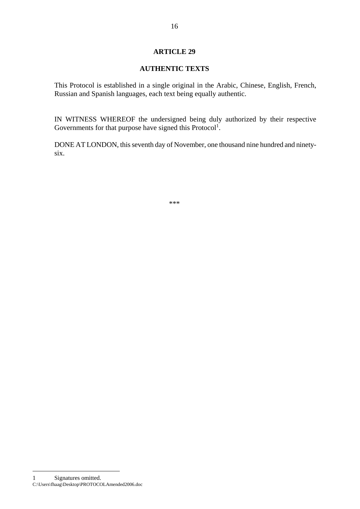## **AUTHENTIC TEXTS**

This Protocol is established in a single original in the Arabic, Chinese, English, French, Russian and Spanish languages, each text being equally authentic.

IN WITNESS WHEREOF the undersigned being duly authorized by their respective Governments for that purpose have signed this Protocol<sup>1</sup>.

DONE AT LONDON, this seventh day of November, one thousand nine hundred and ninetysix.

\*\*\*

1

C:\Users\fhaag\Desktop\PROTOCOLAmended2006.doc 1 Signatures omitted.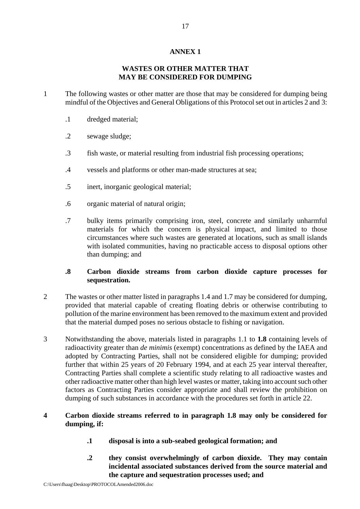# **ANNEX 1**

# **WASTES OR OTHER MATTER THAT MAY BE CONSIDERED FOR DUMPING**

- 1 The following wastes or other matter are those that may be considered for dumping being mindful of the Objectives and General Obligations of this Protocol set out in articles 2 and 3:
	- .1 dredged material;
	- .2 sewage sludge;
	- .3 fish waste, or material resulting from industrial fish processing operations;
	- .4 vessels and platforms or other man-made structures at sea;
	- .5 inert, inorganic geological material;
	- .6 organic material of natural origin;
	- .7 bulky items primarily comprising iron, steel, concrete and similarly unharmful materials for which the concern is physical impact, and limited to those circumstances where such wastes are generated at locations, such as small islands with isolated communities, having no practicable access to disposal options other than dumping; and

# **.8 Carbon dioxide streams from carbon dioxide capture processes for sequestration.**

- 2 The wastes or other matter listed in paragraphs 1.4 and 1.7 may be considered for dumping, provided that material capable of creating floating debris or otherwise contributing to pollution of the marine environment has been removed to the maximum extent and provided that the material dumped poses no serious obstacle to fishing or navigation.
- 3 Notwithstanding the above, materials listed in paragraphs 1.1 to **1.8** containing levels of radioactivity greater than *de minimis* (exempt) concentrations as defined by the IAEA and adopted by Contracting Parties, shall not be considered eligible for dumping; provided further that within 25 years of 20 February 1994, and at each 25 year interval thereafter, Contracting Parties shall complete a scientific study relating to all radioactive wastes and other radioactive matter other than high level wastes or matter, taking into account such other factors as Contracting Parties consider appropriate and shall review the prohibition on dumping of such substances in accordance with the procedures set forth in article 22.

# **4 Carbon dioxide streams referred to in paragraph 1.8 may only be considered for dumping, if:**

- **.1 disposal is into a sub-seabed geological formation; and**
- **.2 they consist overwhelmingly of carbon dioxide. They may contain incidental associated substances derived from the source material and the capture and sequestration processes used; and**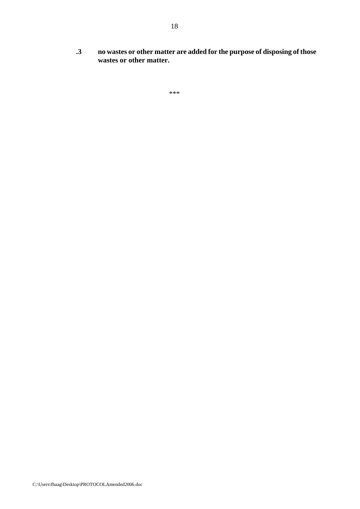**.3 no wastes or other matter are added for the purpose of disposing of those wastes or other matter.** 

\*\*\*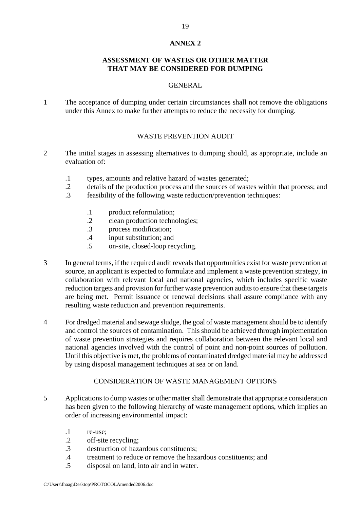## **ANNEX 2**

## **ASSESSMENT OF WASTES OR OTHER MATTER THAT MAY BE CONSIDERED FOR DUMPING**

#### GENERAL

1 The acceptance of dumping under certain circumstances shall not remove the obligations under this Annex to make further attempts to reduce the necessity for dumping.

### WASTE PREVENTION AUDIT

- 2 The initial stages in assessing alternatives to dumping should, as appropriate, include an evaluation of:
	- .1 types, amounts and relative hazard of wastes generated;
	- .2 details of the production process and the sources of wastes within that process; and
	- .3 feasibility of the following waste reduction/prevention techniques:
		- .1 product reformulation;
		- .2 clean production technologies;
		- .3 process modification;
		- .4 input substitution; and
		- .5 on-site, closed-loop recycling.
- 3 In general terms, if the required audit reveals that opportunities exist for waste prevention at source, an applicant is expected to formulate and implement a waste prevention strategy, in collaboration with relevant local and national agencies, which includes specific waste reduction targets and provision for further waste prevention audits to ensure that these targets are being met. Permit issuance or renewal decisions shall assure compliance with any resulting waste reduction and prevention requirements.
- 4 For dredged material and sewage sludge, the goal of waste management should be to identify and control the sources of contamination. This should be achieved through implementation of waste prevention strategies and requires collaboration between the relevant local and national agencies involved with the control of point and non-point sources of pollution. Until this objective is met, the problems of contaminated dredged material may be addressed by using disposal management techniques at sea or on land.

## CONSIDERATION OF WASTE MANAGEMENT OPTIONS

- 5 Applications to dump wastes or other matter shall demonstrate that appropriate consideration has been given to the following hierarchy of waste management options, which implies an order of increasing environmental impact:
	- .1 re-use;
	- .2 off-site recycling;
	- .3 destruction of hazardous constituents;
	- .4 treatment to reduce or remove the hazardous constituents; and
	- .5 disposal on land, into air and in water.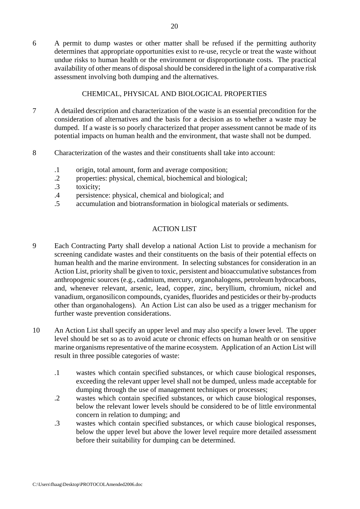6 A permit to dump wastes or other matter shall be refused if the permitting authority determines that appropriate opportunities exist to re-use, recycle or treat the waste without undue risks to human health or the environment or disproportionate costs. The practical availability of other means of disposal should be considered in the light of a comparative risk assessment involving both dumping and the alternatives.

## CHEMICAL, PHYSICAL AND BIOLOGICAL PROPERTIES

- 7 A detailed description and characterization of the waste is an essential precondition for the consideration of alternatives and the basis for a decision as to whether a waste may be dumped. If a waste is so poorly characterized that proper assessment cannot be made of its potential impacts on human health and the environment, that waste shall not be dumped.
- 8 Characterization of the wastes and their constituents shall take into account:
	- .1 origin, total amount, form and average composition;
	- .2 properties: physical, chemical, biochemical and biological;
	- .3 toxicity;
	- .4 persistence: physical, chemical and biological; and
	- .5 accumulation and biotransformation in biological materials or sediments.

# ACTION LIST

- 9 Each Contracting Party shall develop a national Action List to provide a mechanism for screening candidate wastes and their constituents on the basis of their potential effects on human health and the marine environment. In selecting substances for consideration in an Action List, priority shall be given to toxic, persistent and bioaccumulative substances from anthropogenic sources (e.g., cadmium, mercury, organohalogens, petroleum hydrocarbons, and, whenever relevant, arsenic, lead, copper, zinc, beryllium, chromium, nickel and vanadium, organosilicon compounds, cyanides, fluorides and pesticides or their by-products other than organohalogens). An Action List can also be used as a trigger mechanism for further waste prevention considerations.
- 10 An Action List shall specify an upper level and may also specify a lower level. The upper level should be set so as to avoid acute or chronic effects on human health or on sensitive marine organisms representative of the marine ecosystem. Application of an Action List will result in three possible categories of waste:
	- .1 wastes which contain specified substances, or which cause biological responses, exceeding the relevant upper level shall not be dumped, unless made acceptable for dumping through the use of management techniques or processes;
	- .2 wastes which contain specified substances, or which cause biological responses, below the relevant lower levels should be considered to be of little environmental concern in relation to dumping; and
	- .3 wastes which contain specified substances, or which cause biological responses, below the upper level but above the lower level require more detailed assessment before their suitability for dumping can be determined.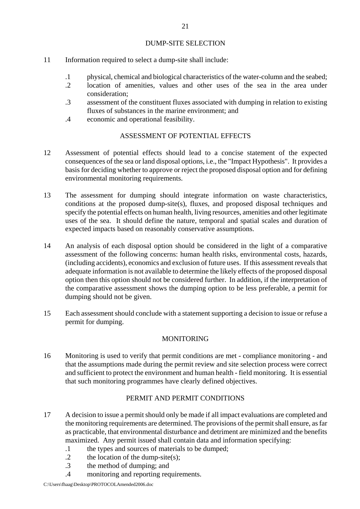## DUMP-SITE SELECTION

- 11 Information required to select a dump-site shall include:
	- .1 physical, chemical and biological characteristics of the water-column and the seabed;
	- .2 location of amenities, values and other uses of the sea in the area under consideration;
	- .3 assessment of the constituent fluxes associated with dumping in relation to existing fluxes of substances in the marine environment; and
	- .4 economic and operational feasibility.

# ASSESSMENT OF POTENTIAL EFFECTS

- 12 Assessment of potential effects should lead to a concise statement of the expected consequences of the sea or land disposal options, i.e., the "Impact Hypothesis". It provides a basis for deciding whether to approve or reject the proposed disposal option and for defining environmental monitoring requirements.
- 13 The assessment for dumping should integrate information on waste characteristics, conditions at the proposed dump-site(s), fluxes, and proposed disposal techniques and specify the potential effects on human health, living resources, amenities and other legitimate uses of the sea. It should define the nature, temporal and spatial scales and duration of expected impacts based on reasonably conservative assumptions.
- 14 An analysis of each disposal option should be considered in the light of a comparative assessment of the following concerns: human health risks, environmental costs, hazards, (including accidents), economics and exclusion of future uses. If this assessment reveals that adequate information is not available to determine the likely effects of the proposed disposal option then this option should not be considered further. In addition, if the interpretation of the comparative assessment shows the dumping option to be less preferable, a permit for dumping should not be given.
- 15 Each assessment should conclude with a statement supporting a decision to issue or refuse a permit for dumping.

# MONITORING

16 Monitoring is used to verify that permit conditions are met - compliance monitoring - and that the assumptions made during the permit review and site selection process were correct and sufficient to protect the environment and human health - field monitoring. It is essential that such monitoring programmes have clearly defined objectives.

# PERMIT AND PERMIT CONDITIONS

- 17 A decision to issue a permit should only be made if all impact evaluations are completed and the monitoring requirements are determined. The provisions of the permit shall ensure, as far as practicable, that environmental disturbance and detriment are minimized and the benefits maximized. Any permit issued shall contain data and information specifying:
	- .1 the types and sources of materials to be dumped;
	- .2 the location of the dump-site(s);
	- .3 the method of dumping; and
	- .4 monitoring and reporting requirements.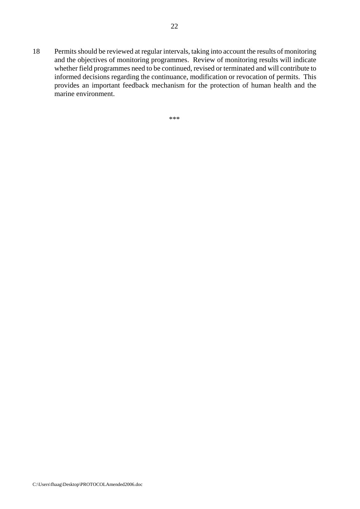18 Permits should be reviewed at regular intervals, taking into account the results of monitoring and the objectives of monitoring programmes. Review of monitoring results will indicate whether field programmes need to be continued, revised or terminated and will contribute to informed decisions regarding the continuance, modification or revocation of permits. This provides an important feedback mechanism for the protection of human health and the marine environment.

\*\*\*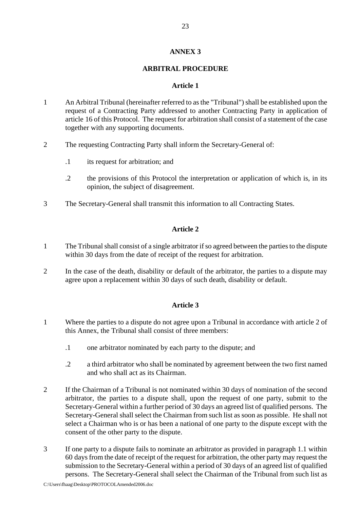### **ANNEX 3**

## **ARBITRAL PROCEDURE**

## **Article 1**

- 1 An Arbitral Tribunal (hereinafter referred to as the "Tribunal") shall be established upon the request of a Contracting Party addressed to another Contracting Party in application of article 16 of this Protocol. The request for arbitration shall consist of a statement of the case together with any supporting documents.
- 2 The requesting Contracting Party shall inform the Secretary-General of:
	- .1 its request for arbitration; and
	- .2 the provisions of this Protocol the interpretation or application of which is, in its opinion, the subject of disagreement.
- 3 The Secretary-General shall transmit this information to all Contracting States.

# **Article 2**

- 1 The Tribunal shall consist of a single arbitrator if so agreed between the parties to the dispute within 30 days from the date of receipt of the request for arbitration.
- 2 In the case of the death, disability or default of the arbitrator, the parties to a dispute may agree upon a replacement within 30 days of such death, disability or default.

### **Article 3**

- 1 Where the parties to a dispute do not agree upon a Tribunal in accordance with article 2 of this Annex, the Tribunal shall consist of three members:
	- .1 one arbitrator nominated by each party to the dispute; and
	- .2 a third arbitrator who shall be nominated by agreement between the two first named and who shall act as its Chairman.
- 2 If the Chairman of a Tribunal is not nominated within 30 days of nomination of the second arbitrator, the parties to a dispute shall, upon the request of one party, submit to the Secretary-General within a further period of 30 days an agreed list of qualified persons. The Secretary-General shall select the Chairman from such list as soon as possible. He shall not select a Chairman who is or has been a national of one party to the dispute except with the consent of the other party to the dispute.
- 3 If one party to a dispute fails to nominate an arbitrator as provided in paragraph 1.1 within 60 days from the date of receipt of the request for arbitration, the other party may request the submission to the Secretary-General within a period of 30 days of an agreed list of qualified persons. The Secretary-General shall select the Chairman of the Tribunal from such list as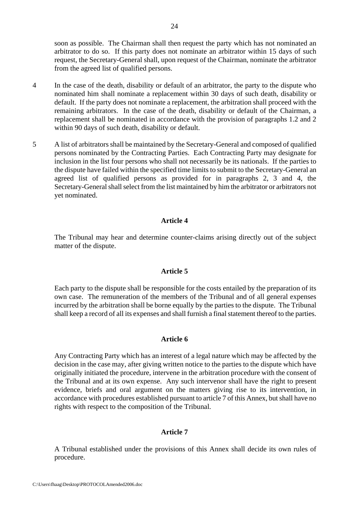soon as possible. The Chairman shall then request the party which has not nominated an arbitrator to do so. If this party does not nominate an arbitrator within 15 days of such request, the Secretary-General shall, upon request of the Chairman, nominate the arbitrator from the agreed list of qualified persons.

- 4 In the case of the death, disability or default of an arbitrator, the party to the dispute who nominated him shall nominate a replacement within 30 days of such death, disability or default. If the party does not nominate a replacement, the arbitration shall proceed with the remaining arbitrators. In the case of the death, disability or default of the Chairman, a replacement shall be nominated in accordance with the provision of paragraphs 1.2 and 2 within 90 days of such death, disability or default.
- 5 A list of arbitrators shall be maintained by the Secretary-General and composed of qualified persons nominated by the Contracting Parties. Each Contracting Party may designate for inclusion in the list four persons who shall not necessarily be its nationals. If the parties to the dispute have failed within the specified time limits to submit to the Secretary-General an agreed list of qualified persons as provided for in paragraphs 2, 3 and 4, the Secretary-General shall select from the list maintained by him the arbitrator or arbitrators not yet nominated.

#### **Article 4**

The Tribunal may hear and determine counter-claims arising directly out of the subject matter of the dispute.

#### **Article 5**

Each party to the dispute shall be responsible for the costs entailed by the preparation of its own case. The remuneration of the members of the Tribunal and of all general expenses incurred by the arbitration shall be borne equally by the parties to the dispute. The Tribunal shall keep a record of all its expenses and shall furnish a final statement thereof to the parties.

#### **Article 6**

Any Contracting Party which has an interest of a legal nature which may be affected by the decision in the case may, after giving written notice to the parties to the dispute which have originally initiated the procedure, intervene in the arbitration procedure with the consent of the Tribunal and at its own expense. Any such intervenor shall have the right to present evidence, briefs and oral argument on the matters giving rise to its intervention, in accordance with procedures established pursuant to article 7 of this Annex, but shall have no rights with respect to the composition of the Tribunal.

### **Article 7**

A Tribunal established under the provisions of this Annex shall decide its own rules of procedure.